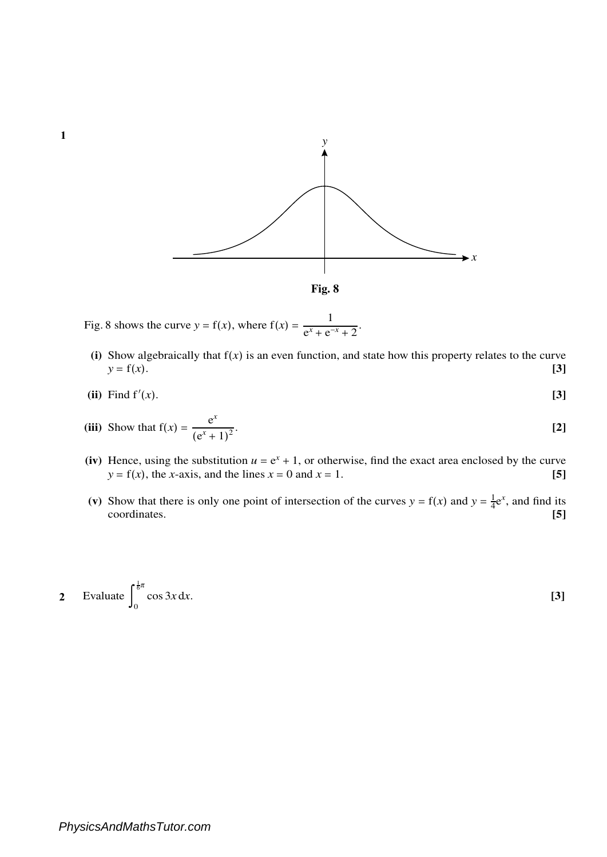

Fig. 8 shows the curve *y* = f(*x*), where  $f(x) = \frac{1}{e^x + e^{-x} + 2}$ .

- (i) Show algebraically that  $f(x)$  is an even function, and state how this property relates to the curve  $y = f(x)$ . [3]  $y = f(x)$ . **[3]**
- (ii) Find  $f'(x)$ . [3]

(iii) Show that 
$$
f(x) = \frac{e^x}{(e^x + 1)^2}
$$
. [2]

- (iv) Hence, using the substitution  $u = e^x + 1$ , or otherwise, find the exact area enclosed by the curve  $y = f(x)$ , the *x*-axis, and the lines  $x = 0$  and  $x = 1$ . **[5]**
- (v) Show that there is only one point of intersection of the curves  $y = f(x)$  and  $y = \frac{1}{4}$  $\frac{1}{4}e^x$ , and find its coordinates. **[5]**

2 Evaluate 
$$
\int_0^{\frac{1}{6}\pi} \cos 3x \, dx.
$$
 [3]